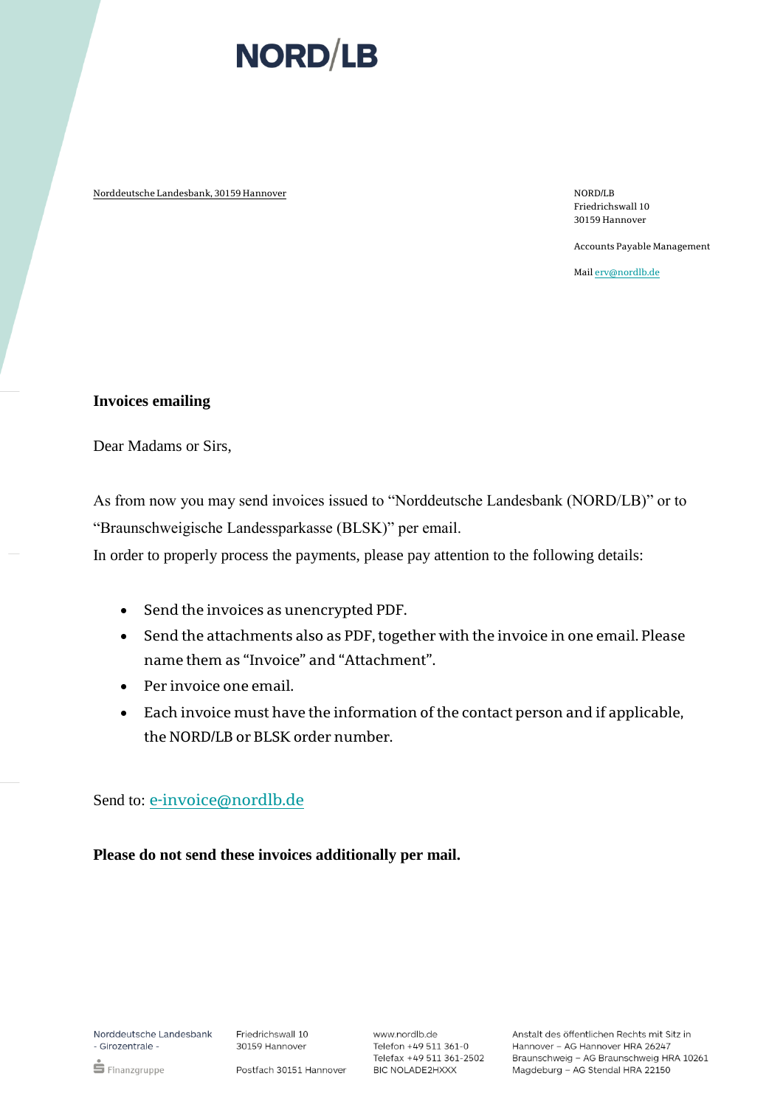# **NORD/LB**

Norddeutsche Landesbank, 30159 Hannover Norddeutsche Landesbank, 30159 Hannover

Friedrichswall 10 30159 Hannover

Accounts Payable Management

Mai[l erv@nordlb.de](mailto:erv@nordlb.de)

#### **Invoices emailing**

Dear Madams or Sirs,

As from now you may send invoices issued to "Norddeutsche Landesbank (NORD/LB)" or to "Braunschweigische Landessparkasse (BLSK)" per email.

In order to properly process the payments, please pay attention to the following details:

- Send the invoices as unencrypted PDF.
- Send the attachments also as PDF, together with the invoice in one email. Please name them as "Invoice" and "Attachment".
- Per invoice one email.
- Each invoice must have the information of the contact person and if applicable, the NORD/LB or BLSK order number.

### Send to: [e-invoice@nordlb.de](mailto:e-invoice@nordlb.de)

**Please do not send these invoices additionally per mail.**

Norddeutsche Landesbank - Girozentrale -

 $\mathop{\bullet}$  Finanzgruppe

Postfach 30151 Hannover